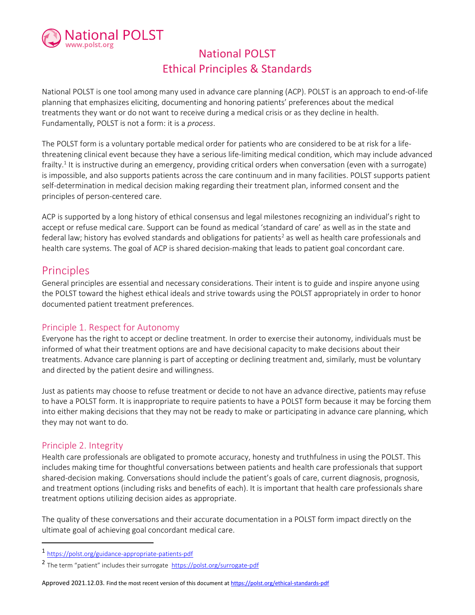

# National POLST Ethical Principles & Standards

National POLST is one tool among many used in advance care planning (ACP). POLST is an approach to end-of-life planning that emphasizes eliciting, documenting and honoring patients' preferences about the medical treatments they want or do not want to receive during a medical crisis or as they decline in health. Fundamentally, POLST is not a form: it is a process.

The POLST form is a voluntary portable medical order for patients who are considered to be at risk for a lifethreatening clinical event because they have a serious life-limiting medical condition, which may include advanced frailty.<sup>1</sup> It is instructive during an emergency, providing critical orders when conversation (even with a surrogate) is impossible, and also supports patients across the care continuum and in many facilities. POLST supports patient self-determination in medical decision making regarding their treatment plan, informed consent and the principles of person-centered care.

ACP is supported by a long history of ethical consensus and legal milestones recognizing an individual's right to accept or refuse medical care. Support can be found as medical 'standard of care' as well as in the state and federal law; history has evolved standards and obligations for patients<sup>2</sup> as well as health care professionals and health care systems. The goal of ACP is shared decision-making that leads to patient goal concordant care.

### Principles

General principles are essential and necessary considerations. Their intent is to guide and inspire anyone using the POLST toward the highest ethical ideals and strive towards using the POLST appropriately in order to honor documented patient treatment preferences.

#### Principle 1. Respect for Autonomy

Everyone has the right to accept or decline treatment. In order to exercise their autonomy, individuals must be informed of what their treatment options are and have decisional capacity to make decisions about their treatments. Advance care planning is part of accepting or declining treatment and, similarly, must be voluntary and directed by the patient desire and willingness.

Just as patients may choose to refuse treatment or decide to not have an advance directive, patients may refuse to have a POLST form. It is inappropriate to require patients to have a POLST form because it may be forcing them into either making decisions that they may not be ready to make or participating in advance care planning, which they may not want to do.

### Principle 2. Integrity

Health care professionals are obligated to promote accuracy, honesty and truthfulness in using the POLST. This includes making time for thoughtful conversations between patients and health care professionals that support shared-decision making. Conversations should include the patient's goals of care, current diagnosis, prognosis, and treatment options (including risks and benefits of each). It is important that health care professionals share treatment options utilizing decision aides as appropriate.

The quality of these conversations and their accurate documentation in a POLST form impact directly on the ultimate goal of achieving goal concordant medical care.

<sup>1</sup> https://polst.org/guidance-appropriate-patients-pdf

<sup>2</sup> The term "patient" includes their surrogate https://polst.org/surrogate-pdf